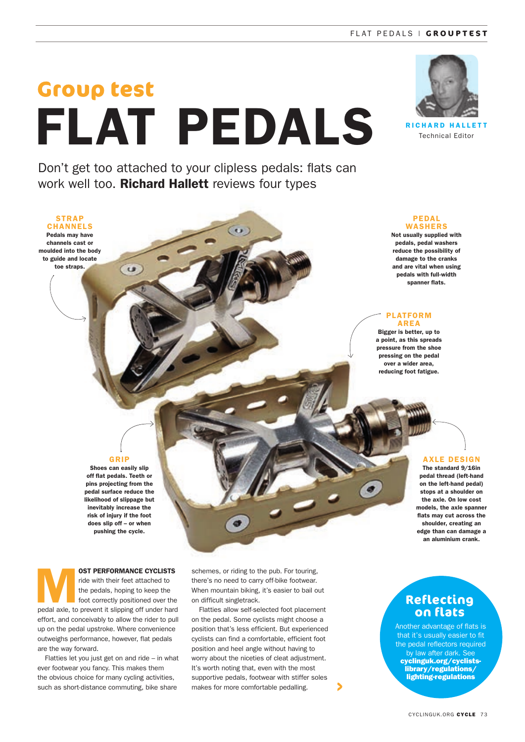#### FLAT PEDALS | **GROUPTEST**

# **Group test** FLAT PEDALS

Don't get too attached to your clipless pedals: flats can work well too. Richard Hallett reviews four types

 $\left( \cdots \right)$ 



RICHARD HALLETT Technical Editor

**STRAP** CHANNELS Pedals may have channels cast or moulded into the body to guide and locate toe straps.

#### PEDAL WASHERS

Not usually supplied with pedals, pedal washers reduce the possibility of damage to the cranks and are vital when using pedals with full-width spanner flats.

#### PLATFORM AREA

Bigger is better, up to a point, as this spreads pressure from the shoe pressing on the pedal over a wider area, reducing foot fatigue.

### GRIP

 $\frac{1}{2}$ 

Shoes can easily slip off flat pedals. Teeth or pins projecting from the pedal surface reduce the likelihood of slippage but inevitably increase the risk of injury if the foot does slip off – or when pushing the cycle.



AXLE DESIGN The standard 9/16in pedal thread (left-hand on the left-hand pedal) stops at a shoulder on the axle. On low cost

**OST PERFORMANCE CYCLISTS**<br>
ride with their feet attached to<br>
the pedals, hoping to keep the<br>
foot correctly positioned over the<br>
nedal ayle to prevent it slipping off under hard ride with their feet attached to the pedals, hoping to keep the foot correctly positioned over the pedal axle, to prevent it slipping off under hard effort, and conceivably to allow the rider to pull up on the pedal upstroke. Where convenience outweighs performance, however, flat pedals are the way forward.

Flatties let you just get on and ride – in what ever footwear you fancy. This makes them the obvious choice for many cycling activities, such as short-distance commuting, bike share

schemes, or riding to the pub. For touring, there's no need to carry off-bike footwear. When mountain biking, it's easier to bail out on difficult singletrack.

Flatties allow self-selected foot placement on the pedal. Some cyclists might choose a position that's less efficient. But experienced cyclists can find a comfortable, efficient foot position and heel angle without having to worry about the niceties of cleat adjustment. It's worth noting that, even with the most supportive pedals, footwear with stiffer soles makes for more comfortable pedalling.

# **Reflecting on flats**

Another advantage of flats is that it's usually easier to fit the pedal reflectors required by law after dark. Se cyclinguk.org/cyclistslibrary/regulations/ lighting-regulations